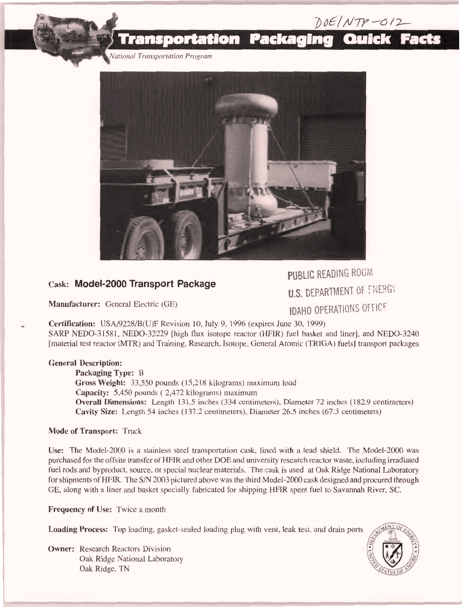

## Cask: Model-2000 Transport Package

Manufacturer: General Electric (GE)

PUBLIC READING ROOM **U.S. DEPARTMENT OF ENERGY IDAHO OPERATIONS OFFICE** 

 $DOE/NTP-O12$ 

Certification: USA/9228/B(U)F Revision 10, July 9, 1996 (expires June 30, 1999) SARP NEDO-31581, NEDO-32229 [high flux isotope reactor (HFIR) fuel basket and liner], and NEDO-3240 [material test reactor (MTR) and Training, Research, Isotope, General Atomic (TRIGA) fuels] transport packages

## General Description:

Packaging Type: B Gross Weight: 33,550 pounds (15,218 kilograms) maximum load Capacity: 5,450 pounds ( 2,472 kilograms) maximum Overall Dimensions: Length 131.5 inches (334 centimeters), Diameter 72 inches (182.9 centimeters) Cavity Size: Length 54 inches (137.2 centimeters), Diameter 26.5 inches (67.3 centimeters)

## Mode of Transport: Truck

Use: The Model-2000 is a stainless steel transportation cask, lined with a lead shield. The Model-2000 was purchased for the offsite transfer of HFIR and other DOE and university research reactor waste, including irradiated fuel rods and byproduct, source, or special nuclear materials. The cask is used at Oak Ridge National Laboratory for shipments of HFIR. The S/N 2003 pictured above was the third Model-2000 cask designed and procured through GE, along with a liner and basket specially fabricated for shipping HEIR spent fuel to Savannah River, SC.

Frequency of Use: Twice a month

Loading Process: Top loading, gasket-sealed loading plug with vent, leak test, and drain ports

Owner: Research Reactors Division Oak Ridge National Laboratory Oak Ridge, TN